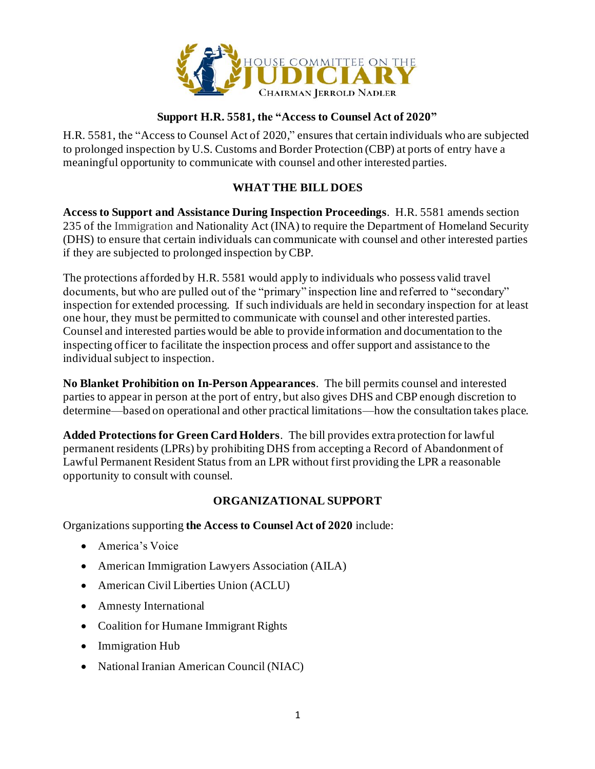

## **Support H.R. 5581, the "Access to Counsel Act of 2020"**

H.R. 5581, the "Access to Counsel Act of 2020," ensures that certain individuals who are subjected to prolonged inspection by U.S. Customs and Border Protection (CBP) at ports of entry have a meaningful opportunity to communicate with counsel and other interested parties.

## **WHAT THE BILL DOES**

**Access to Support and Assistance During Inspection Proceedings**. H.R. 5581 amends section 235 of the Immigration and Nationality Act (INA) to require the Department of Homeland Security (DHS) to ensure that certain individuals can communicate with counsel and other interested parties if they are subjected to prolonged inspection by CBP.

The protections afforded by H.R. 5581 would apply to individuals who possess valid travel documents, but who are pulled out of the "primary" inspection line and referred to "secondary" inspection for extended processing. If such individuals are held in secondary inspection for at least one hour, they must be permitted to communicate with counsel and other interested parties. Counsel and interested parties would be able to provide information and documentation to the inspecting officer to facilitate the inspection process and offer support and assistance to the individual subject to inspection.

**No Blanket Prohibition on In-Person Appearances**. The bill permits counsel and interested parties to appear in person at the port of entry, but also gives DHS and CBP enough discretion to determine—based on operational and other practical limitations—how the consultation takes place.

**Added Protections for Green Card Holders**. The bill provides extra protection for lawful permanent residents (LPRs) by prohibiting DHS from accepting a Record of Abandonment of Lawful Permanent Resident Status from an LPR without first providing the LPR a reasonable opportunity to consult with counsel.

## **ORGANIZATIONAL SUPPORT**

Organizations supporting **the Access to Counsel Act of 2020** include:

- America's Voice
- American Immigration Lawyers Association (AILA)
- American Civil Liberties Union (ACLU)
- Amnesty International
- Coalition for Humane Immigrant Rights
- Immigration Hub
- National Iranian American Council (NIAC)